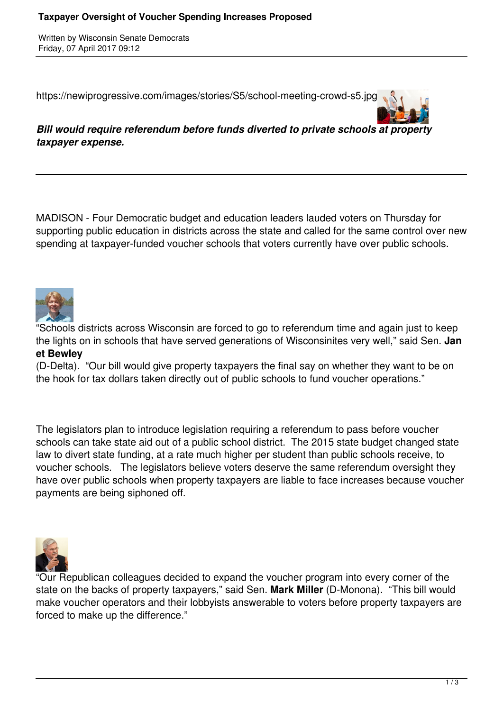Written by Wisconsin Senate Democrats Friday, 07 April 2017 09:12

https://newiprogressive.com/images/stories/S5/school-meeting-crowd-s5.jpg



*Bill would require referendum before funds diverted to private schools at property taxpayer expense.*

MADISON - Four Democratic budget and education leaders lauded voters on Thursday for supporting public education in districts across the state and called for the same control over new spending at taxpayer-funded voucher schools that voters currently have over public schools.



"Schools districts across Wisconsin are forced to go to referendum time and again just to keep the lights on in schools that have served generations of Wisconsinites very well," said Sen. **Jan et Bewley**

(D-Delta). "Our bill would give property taxpayers the final say on whether they want to be on the hook for tax dollars taken directly out of public schools to fund voucher operations."

The legislators plan to introduce legislation requiring a referendum to pass before voucher schools can take state aid out of a public school district. The 2015 state budget changed state law to divert state funding, at a rate much higher per student than public schools receive, to voucher schools. The legislators believe voters deserve the same referendum oversight they have over public schools when property taxpayers are liable to face increases because voucher payments are being siphoned off.



"Our Republican colleagues decided to expand the voucher program into every corner of the state on the backs of property taxpayers," said Sen. **Mark Miller** (D-Monona). "This bill would make voucher operators and their lobbyists answerable to voters before property taxpayers are forced to make up the difference."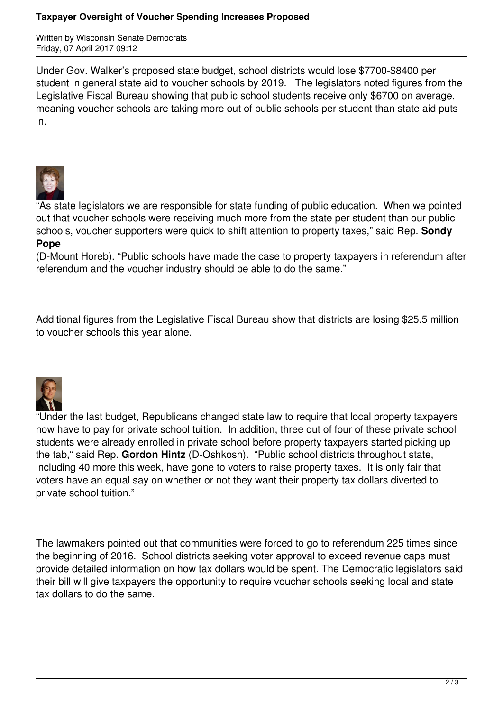## **Taxpayer Oversight of Voucher Spending Increases Proposed**

Written by Wisconsin Senate Democrats Friday, 07 April 2017 09:12

Under Gov. Walker's proposed state budget, school districts would lose \$7700-\$8400 per student in general state aid to voucher schools by 2019. The legislators noted figures from the Legislative Fiscal Bureau showing that public school students receive only \$6700 on average, meaning voucher schools are taking more out of public schools per student than state aid puts in.



"As state legislators we are responsible for state funding of public education. When we pointed out that voucher schools were receiving much more from the state per student than our public schools, voucher supporters were quick to shift attention to property taxes," said Rep. **Sondy Pope**

(D-Mount Horeb). "Public schools have made the case to property taxpayers in referendum after referendum and the voucher industry should be able to do the same."

Additional figures from the Legislative Fiscal Bureau show that districts are losing \$25.5 million to voucher schools this year alone.



"Under the last budget, Republicans changed state law to require that local property taxpayers now have to pay for private school tuition. In addition, three out of four of these private school students were already enrolled in private school before property taxpayers started picking up the tab," said Rep. **Gordon Hintz** (D-Oshkosh). "Public school districts throughout state, including 40 more this week, have gone to voters to raise property taxes. It is only fair that voters have an equal say on whether or not they want their property tax dollars diverted to private school tuition."

The lawmakers pointed out that communities were forced to go to referendum 225 times since the beginning of 2016. School districts seeking voter approval to exceed revenue caps must provide detailed information on how tax dollars would be spent. The Democratic legislators said their bill will give taxpayers the opportunity to require voucher schools seeking local and state tax dollars to do the same.